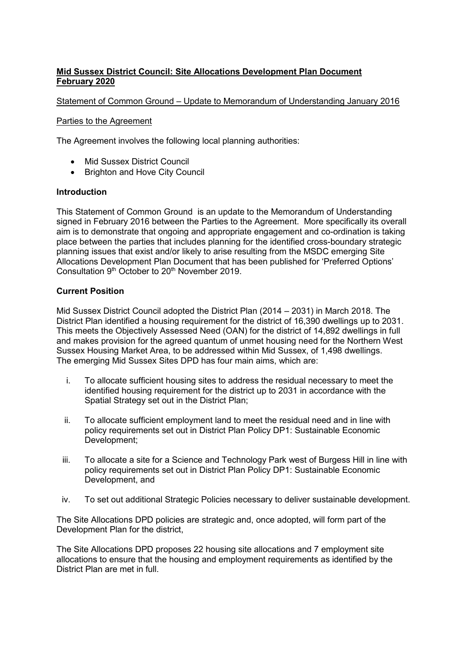# **Mid Sussex District Council: Site Allocations Development Plan Document February 2020**

## Statement of Common Ground – Update to Memorandum of Understanding January 2016

#### Parties to the Agreement

The Agreement involves the following local planning authorities:

- Mid Sussex District Council
- Brighton and Hove City Council

#### **Introduction**

This Statement of Common Ground is an update to the Memorandum of Understanding signed in February 2016 between the Parties to the Agreement. More specifically its overall aim is to demonstrate that ongoing and appropriate engagement and co-ordination is taking place between the parties that includes planning for the identified cross-boundary strategic planning issues that exist and/or likely to arise resulting from the MSDC emerging Site Allocations Development Plan Document that has been published for 'Preferred Options' Consultation 9<sup>th</sup> October to 20<sup>th</sup> November 2019.

# **Current Position**

Mid Sussex District Council adopted the District Plan (2014 – 2031) in March 2018. The District Plan identified a housing requirement for the district of 16,390 dwellings up to 2031. This meets the Objectively Assessed Need (OAN) for the district of 14,892 dwellings in full and makes provision for the agreed quantum of unmet housing need for the Northern West Sussex Housing Market Area, to be addressed within Mid Sussex, of 1,498 dwellings. The emerging Mid Sussex Sites DPD has four main aims, which are:

- i. To allocate sufficient housing sites to address the residual necessary to meet the identified housing requirement for the district up to 2031 in accordance with the Spatial Strategy set out in the District Plan;
- ii. To allocate sufficient employment land to meet the residual need and in line with policy requirements set out in District Plan Policy DP1: Sustainable Economic Development;
- iii. To allocate a site for a Science and Technology Park west of Burgess Hill in line with policy requirements set out in District Plan Policy DP1: Sustainable Economic Development, and
- iv. To set out additional Strategic Policies necessary to deliver sustainable development.

The Site Allocations DPD policies are strategic and, once adopted, will form part of the Development Plan for the district,

The Site Allocations DPD proposes 22 housing site allocations and 7 employment site allocations to ensure that the housing and employment requirements as identified by the District Plan are met in full.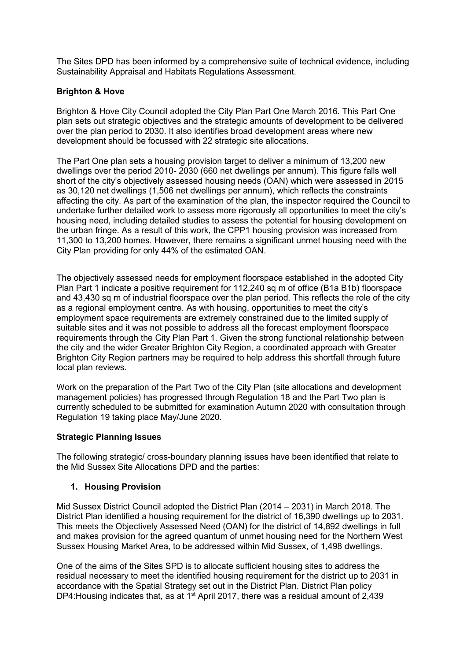The Sites DPD has been informed by a comprehensive suite of technical evidence, including Sustainability Appraisal and Habitats Regulations Assessment.

## **Brighton & Hove**

Brighton & Hove City Council adopted the City Plan Part One March 2016. This Part One plan sets out strategic objectives and the strategic amounts of development to be delivered over the plan period to 2030. It also identifies broad development areas where new development should be focussed with 22 strategic site allocations.

The Part One plan sets a housing provision target to deliver a minimum of 13,200 new dwellings over the period 2010- 2030 (660 net dwellings per annum). This figure falls well short of the city's objectively assessed housing needs (OAN) which were assessed in 2015 as 30,120 net dwellings (1,506 net dwellings per annum), which reflects the constraints affecting the city. As part of the examination of the plan, the inspector required the Council to undertake further detailed work to assess more rigorously all opportunities to meet the city's housing need, including detailed studies to assess the potential for housing development on the urban fringe. As a result of this work, the CPP1 housing provision was increased from 11,300 to 13,200 homes. However, there remains a significant unmet housing need with the City Plan providing for only 44% of the estimated OAN.

The objectively assessed needs for employment floorspace established in the adopted City Plan Part 1 indicate a positive requirement for 112,240 sq m of office (B1a B1b) floorspace and 43,430 sq m of industrial floorspace over the plan period. This reflects the role of the city as a regional employment centre. As with housing, opportunities to meet the city's employment space requirements are extremely constrained due to the limited supply of suitable sites and it was not possible to address all the forecast employment floorspace requirements through the City Plan Part 1. Given the strong functional relationship between the city and the wider Greater Brighton City Region, a coordinated approach with Greater Brighton City Region partners may be required to help address this shortfall through future local plan reviews.

Work on the preparation of the Part Two of the City Plan (site allocations and development management policies) has progressed through Regulation 18 and the Part Two plan is currently scheduled to be submitted for examination Autumn 2020 with consultation through Regulation 19 taking place May/June 2020.

#### **Strategic Planning Issues**

The following strategic/ cross-boundary planning issues have been identified that relate to the Mid Sussex Site Allocations DPD and the parties:

#### **1. Housing Provision**

Mid Sussex District Council adopted the District Plan (2014 – 2031) in March 2018. The District Plan identified a housing requirement for the district of 16,390 dwellings up to 2031. This meets the Objectively Assessed Need (OAN) for the district of 14,892 dwellings in full and makes provision for the agreed quantum of unmet housing need for the Northern West Sussex Housing Market Area, to be addressed within Mid Sussex, of 1,498 dwellings.

One of the aims of the Sites SPD is to allocate sufficient housing sites to address the residual necessary to meet the identified housing requirement for the district up to 2031 in accordance with the Spatial Strategy set out in the District Plan. District Plan policy DP4: Housing indicates that, as at  $1<sup>st</sup>$  April 2017, there was a residual amount of 2,439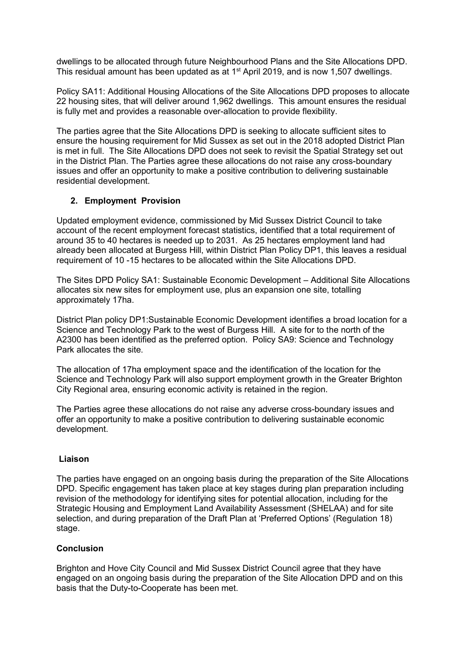dwellings to be allocated through future Neighbourhood Plans and the Site Allocations DPD. This residual amount has been updated as at 1st April 2019, and is now 1,507 dwellings.

Policy SA11: Additional Housing Allocations of the Site Allocations DPD proposes to allocate 22 housing sites, that will deliver around 1,962 dwellings. This amount ensures the residual is fully met and provides a reasonable over-allocation to provide flexibility.

The parties agree that the Site Allocations DPD is seeking to allocate sufficient sites to ensure the housing requirement for Mid Sussex as set out in the 2018 adopted District Plan is met in full. The Site Allocations DPD does not seek to revisit the Spatial Strategy set out in the District Plan. The Parties agree these allocations do not raise any cross-boundary issues and offer an opportunity to make a positive contribution to delivering sustainable residential development.

# **2. Employment Provision**

Updated employment evidence, commissioned by Mid Sussex District Council to take account of the recent employment forecast statistics, identified that a total requirement of around 35 to 40 hectares is needed up to 2031. As 25 hectares employment land had already been allocated at Burgess Hill, within District Plan Policy DP1, this leaves a residual requirement of 10 -15 hectares to be allocated within the Site Allocations DPD.

The Sites DPD Policy SA1: Sustainable Economic Development – Additional Site Allocations allocates six new sites for employment use, plus an expansion one site, totalling approximately 17ha.

District Plan policy DP1:Sustainable Economic Development identifies a broad location for a Science and Technology Park to the west of Burgess Hill. A site for to the north of the A2300 has been identified as the preferred option. Policy SA9: Science and Technology Park allocates the site.

The allocation of 17ha employment space and the identification of the location for the Science and Technology Park will also support employment growth in the Greater Brighton City Regional area, ensuring economic activity is retained in the region.

The Parties agree these allocations do not raise any adverse cross-boundary issues and offer an opportunity to make a positive contribution to delivering sustainable economic development.

#### **Liaison**

The parties have engaged on an ongoing basis during the preparation of the Site Allocations DPD. Specific engagement has taken place at key stages during plan preparation including revision of the methodology for identifying sites for potential allocation, including for the Strategic Housing and Employment Land Availability Assessment (SHELAA) and for site selection, and during preparation of the Draft Plan at 'Preferred Options' (Regulation 18) stage.

#### **Conclusion**

Brighton and Hove City Council and Mid Sussex District Council agree that they have engaged on an ongoing basis during the preparation of the Site Allocation DPD and on this basis that the Duty-to-Cooperate has been met.